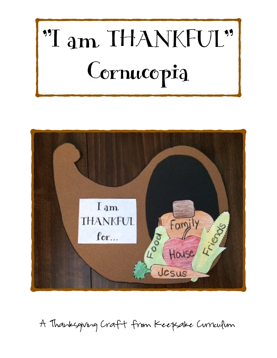# "I am THANKFUL" **Cornucopia**



A Thanksgiving Craft from Keepsake Curriculum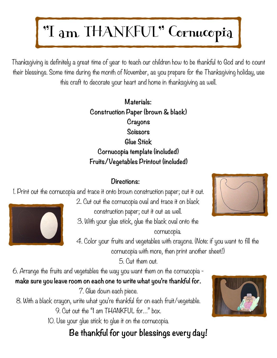## "I am THANKFUL" Cornucopia

Thanksgiving is definitely a great time of year to teach our children how to be thankful to God and to count their blessings. Some time during the month of November, as you prepare for the Thanksgiving holiday, use this craft to decorate your heart and home in thanksgiving as well.

> **Materials: Construction Paper (brown & black) Crayons Scissors Glue Stick Cornucopia template (included) Fruits/Vegetables Printout (included)**

#### **Directions:**

1. Print out the cornucopia and trace it onto brown construction paper; cut it out.



2. Cut out the cornucopia oval and trace it on black construction paper; cut it out as well.

3. With your glue stick, glue the black oval onto the cornucopia.



4. Color your fruits and vegetables with crayons. (Note: if you want to fill the cornucopia with more, then print another sheet!)

5. Cut them out.

6. Arrange the fruits and vegetables the way you want them on the cornucopia -

#### **make sure you leave room on each one to write what you're thankful for.**

7. Glue down each piece.

8. With a black crayon, write what you're thankful for on each fruit/vegetable. 9. Cut out the "I am THANKFUL for…" box.

10. Use your glue stick to glue it on the cornucopia.

### **Be thankful for your blessings every day!**

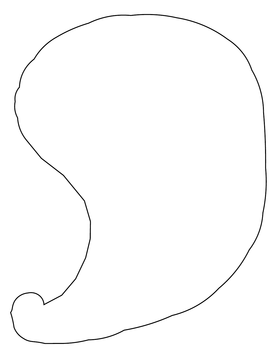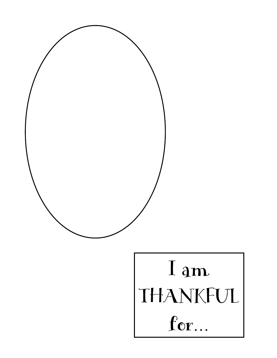